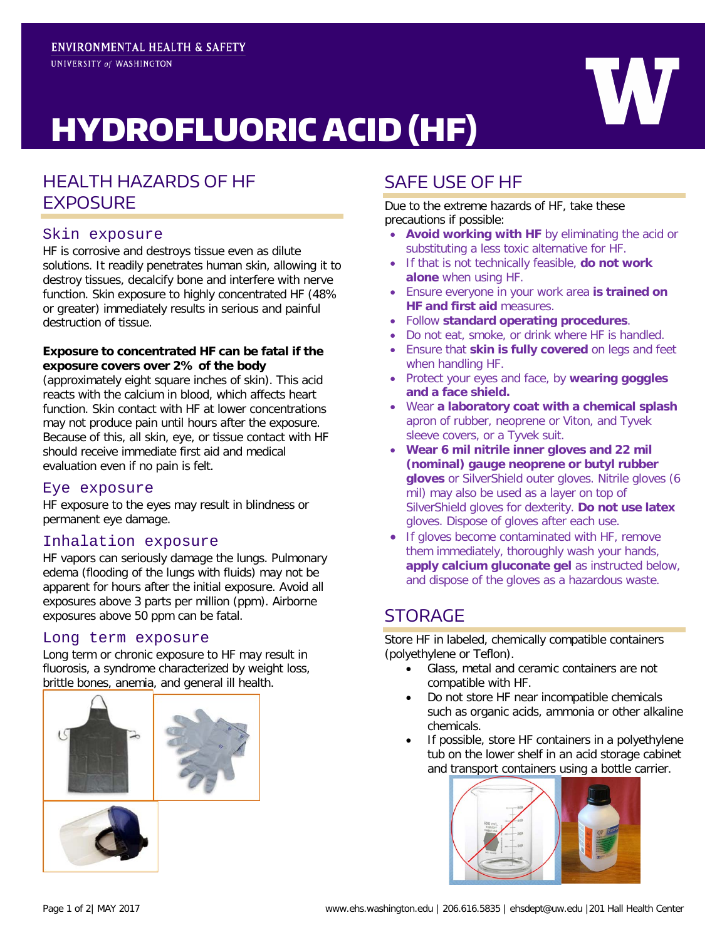

# HYDROFLUORIC ACID (HF)

# HEALTH HAZARDS OF HF **EXPOSURE**

## Skin exposure

HF is corrosive and destroys tissue even as dilute solutions. It readily penetrates human skin, allowing it to destroy tissues, decalcify bone and interfere with nerve function. Skin exposure to highly concentrated HF (48% or greater) immediately results in serious and painful destruction of tissue.

#### **Exposure to concentrated HF can be fatal if the exposure covers over 2% of the body**

(approximately eight square inches of skin). This acid reacts with the calcium in blood, which affects heart function. Skin contact with HF at lower concentrations may not produce pain until hours after the exposure. Because of this, all skin, eye, or tissue contact with HF should receive immediate first aid and medical evaluation even if no pain is felt.

#### Eye exposure

HF exposure to the eyes may result in blindness or permanent eye damage.

## Inhalation exposure

HF vapors can seriously damage the lungs. Pulmonary edema (flooding of the lungs with fluids) may not be apparent for hours after the initial exposure. Avoid all exposures above 3 parts per million (ppm). Airborne exposures above 50 ppm can be fatal.

#### Long term exposure

Long term or chronic exposure to HF may result in fluorosis, a syndrome characterized by weight loss, brittle bones, anemia, and general ill health.



# SAFE USE OF HF

Due to the extreme hazards of HF, take these precautions if possible:

- **Avoid working with HF** by eliminating the acid or substituting a less toxic alternative for HF.
- If that is not technically feasible, **do not work alone** when using HF.
- Ensure everyone in your work area **is trained on HF and first aid** measures.
- Follow **standard operating procedures**.
- Do not eat, smoke, or drink where HF is handled.
- Ensure that **skin is fully covered** on legs and feet when handling HF.
- Protect your eyes and face, by **wearing goggles and a face shield.**
- Wear **a laboratory coat with a chemical splash** apron of rubber, neoprene or Viton, and Tyvek sleeve covers, or a Tyvek suit.
- **Wear 6 mil nitrile inner gloves and 22 mil (nominal) gauge neoprene or butyl rubber gloves** or SilverShield outer gloves. Nitrile gloves (6 mil) may also be used as a layer on top of SilverShield gloves for dexterity. **Do not use latex** gloves. Dispose of gloves after each use.
- If gloves become contaminated with HF, remove them immediately, thoroughly wash your hands, **apply calcium gluconate gel** as instructed below, and dispose of the gloves as a hazardous waste.

# **STORAGE**

Store HF in labeled, chemically compatible containers (polyethylene or Teflon).

- Glass, metal and ceramic containers are not compatible with HF.
- Do not store HF near incompatible chemicals such as organic acids, ammonia or other alkaline chemicals.
- If possible, store HF containers in a polyethylene tub on the lower shelf in an acid storage cabinet and transport containers using a bottle carrier.